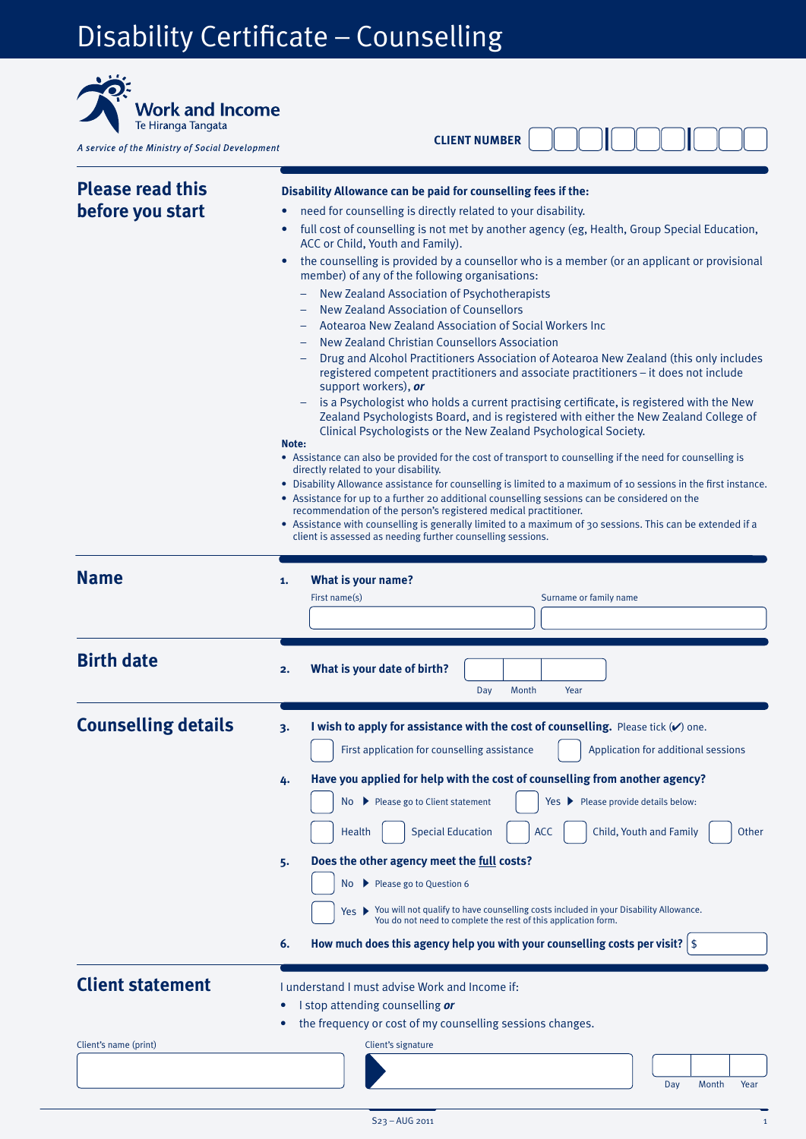## Disability Certificate – Counselling

| <b>Work and Income</b><br>Te Hiranga Tangata<br>A service of the Ministry of Social Development | <b>CLIENT NUMBER</b>                                                                                                                                                                                                                                                                                                                                                                                                                                                                                                                                                                                                                                                                                                                                                                                                                                                                                                                                                                                                                                                                                                                                                                                                                                                                                                                                                                                                                                                                                                                                                                                                                                                                                                                                      |
|-------------------------------------------------------------------------------------------------|-----------------------------------------------------------------------------------------------------------------------------------------------------------------------------------------------------------------------------------------------------------------------------------------------------------------------------------------------------------------------------------------------------------------------------------------------------------------------------------------------------------------------------------------------------------------------------------------------------------------------------------------------------------------------------------------------------------------------------------------------------------------------------------------------------------------------------------------------------------------------------------------------------------------------------------------------------------------------------------------------------------------------------------------------------------------------------------------------------------------------------------------------------------------------------------------------------------------------------------------------------------------------------------------------------------------------------------------------------------------------------------------------------------------------------------------------------------------------------------------------------------------------------------------------------------------------------------------------------------------------------------------------------------------------------------------------------------------------------------------------------------|
| <b>Please read this</b><br>before you start                                                     | Disability Allowance can be paid for counselling fees if the:<br>need for counselling is directly related to your disability.<br>full cost of counselling is not met by another agency (eg, Health, Group Special Education,<br>$\bullet$<br>ACC or Child, Youth and Family).<br>the counselling is provided by a counsellor who is a member (or an applicant or provisional<br>$\bullet$<br>member) of any of the following organisations:<br>New Zealand Association of Psychotherapists<br><b>New Zealand Association of Counsellors</b><br>Aotearoa New Zealand Association of Social Workers Inc<br>New Zealand Christian Counsellors Association<br>Drug and Alcohol Practitioners Association of Aotearoa New Zealand (this only includes<br>registered competent practitioners and associate practitioners - it does not include<br>support workers), or<br>is a Psychologist who holds a current practising certificate, is registered with the New<br>Zealand Psychologists Board, and is registered with either the New Zealand College of<br>Clinical Psychologists or the New Zealand Psychological Society.<br>Note:<br>• Assistance can also be provided for the cost of transport to counselling if the need for counselling is<br>directly related to your disability.<br>• Disability Allowance assistance for counselling is limited to a maximum of 10 sessions in the first instance.<br>• Assistance for up to a further 20 additional counselling sessions can be considered on the<br>recommendation of the person's registered medical practitioner.<br>• Assistance with counselling is generally limited to a maximum of 30 sessions. This can be extended if a<br>client is assessed as needing further counselling sessions. |
| <b>Name</b>                                                                                     | What is your name?<br>1.<br>First name(s)<br>Surname or family name                                                                                                                                                                                                                                                                                                                                                                                                                                                                                                                                                                                                                                                                                                                                                                                                                                                                                                                                                                                                                                                                                                                                                                                                                                                                                                                                                                                                                                                                                                                                                                                                                                                                                       |
| <b>Birth date</b>                                                                               | What is your date of birth?<br>2.<br>Day<br>Year<br>Month                                                                                                                                                                                                                                                                                                                                                                                                                                                                                                                                                                                                                                                                                                                                                                                                                                                                                                                                                                                                                                                                                                                                                                                                                                                                                                                                                                                                                                                                                                                                                                                                                                                                                                 |
| <b>Counselling details</b>                                                                      | I wish to apply for assistance with the cost of counselling. Please tick (v) one.<br>3.<br>First application for counselling assistance<br>Application for additional sessions<br>Have you applied for help with the cost of counselling from another agency?<br>4.<br>No > Please go to Client statement<br>Please provide details below:<br>Yes $\blacktriangleright$<br><b>Special Education</b><br><b>ACC</b><br>Child, Youth and Family<br>Other<br>Health<br>Does the other agency meet the full costs?<br>5.<br>No ▶ Please go to Question 6<br>Yes > You will not qualify to have counselling costs included in your Disability Allowance.<br>You do not need to complete the rest of this application form.<br>How much does this agency help you with your counselling costs per visit? $  \$<br>6.                                                                                                                                                                                                                                                                                                                                                                                                                                                                                                                                                                                                                                                                                                                                                                                                                                                                                                                                             |
| <b>Client statement</b><br>Client's name (print)                                                | I understand I must advise Work and Income if:<br>I stop attending counselling or<br>٠<br>the frequency or cost of my counselling sessions changes.<br>Client's signature                                                                                                                                                                                                                                                                                                                                                                                                                                                                                                                                                                                                                                                                                                                                                                                                                                                                                                                                                                                                                                                                                                                                                                                                                                                                                                                                                                                                                                                                                                                                                                                 |
|                                                                                                 | Day<br>Month<br>Year                                                                                                                                                                                                                                                                                                                                                                                                                                                                                                                                                                                                                                                                                                                                                                                                                                                                                                                                                                                                                                                                                                                                                                                                                                                                                                                                                                                                                                                                                                                                                                                                                                                                                                                                      |